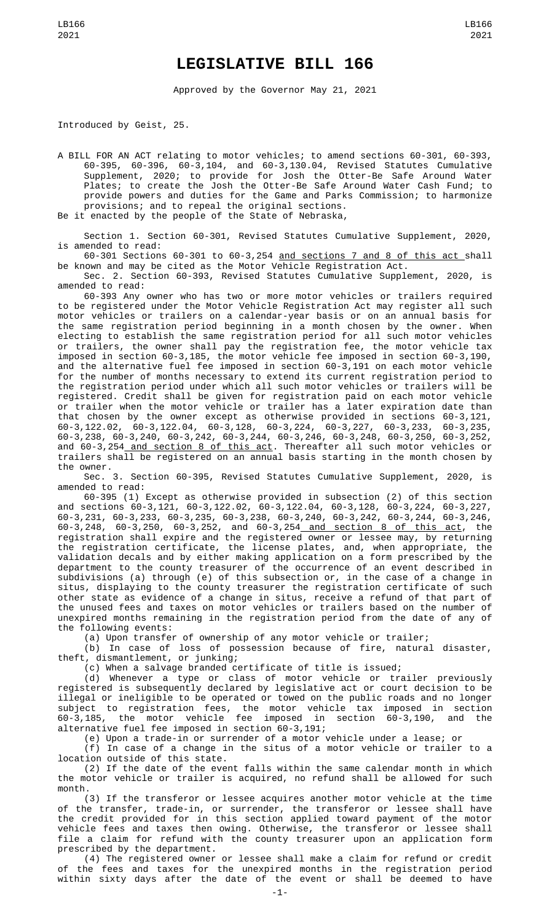## **LEGISLATIVE BILL 166**

Approved by the Governor May 21, 2021

Introduced by Geist, 25.

A BILL FOR AN ACT relating to motor vehicles; to amend sections 60-301, 60-393, 60-395, 60-396, 60-3,104, and 60-3,130.04, Revised Statutes Cumulative Supplement, 2020; to provide for Josh the Otter-Be Safe Around Water Plates; to create the Josh the Otter-Be Safe Around Water Cash Fund; to provide powers and duties for the Game and Parks Commission; to harmonize provisions; and to repeal the original sections. Be it enacted by the people of the State of Nebraska,

Section 1. Section 60-301, Revised Statutes Cumulative Supplement, 2020, is amended to read:

60-301 Sections 60-301 to 60-3,254 and sections 7 and 8 of this act shall be known and may be cited as the Motor Vehicle Registration Act.

Sec. 2. Section 60-393, Revised Statutes Cumulative Supplement, 2020, is amended to read:

60-393 Any owner who has two or more motor vehicles or trailers required to be registered under the Motor Vehicle Registration Act may register all such motor vehicles or trailers on a calendar-year basis or on an annual basis for the same registration period beginning in a month chosen by the owner. When electing to establish the same registration period for all such motor vehicles or trailers, the owner shall pay the registration fee, the motor vehicle tax imposed in section 60-3,185, the motor vehicle fee imposed in section 60-3,190, and the alternative fuel fee imposed in section 60-3,191 on each motor vehicle for the number of months necessary to extend its current registration period to the registration period under which all such motor vehicles or trailers will be registered. Credit shall be given for registration paid on each motor vehicle or trailer when the motor vehicle or trailer has a later expiration date than that chosen by the owner except as otherwise provided in sections 60-3,121, 60-3,122.02, 60-3,122.04, 60-3,128, 60-3,224, 60-3,227, 60-3,233, 60-3,235, 60-3,238, 60-3,240, 60-3,242, 60-3,244, 60-3,246, 60-3,248, 60-3,250, 60-3,252, and 60-3,254 and section 8 of this act. Thereafter all such motor vehicles or trailers shall be registered on an annual basis starting in the month chosen by the owner.

Sec. 3. Section 60-395, Revised Statutes Cumulative Supplement, 2020, is amended to read:

60-395 (1) Except as otherwise provided in subsection (2) of this section and sections 60-3,121, 60-3,122.02, 60-3,122.04, 60-3,128, 60-3,224, 60-3,227, 60-3,231, 60-3,233, 60-3,235, 60-3,238, 60-3,240, 60-3,242, 60-3,244, 60-3,246, 60-3,248, 60-3,250, 60-3,252, and 60-3,254 and section 8 of this act, the registration shall expire and the registered owner or lessee may, by returning the registration certificate, the license plates, and, when appropriate, the validation decals and by either making application on a form prescribed by the department to the county treasurer of the occurrence of an event described in subdivisions (a) through (e) of this subsection or, in the case of a change in situs, displaying to the county treasurer the registration certificate of such other state as evidence of a change in situs, receive a refund of that part of the unused fees and taxes on motor vehicles or trailers based on the number of unexpired months remaining in the registration period from the date of any of the following events:

(a) Upon transfer of ownership of any motor vehicle or trailer;

(b) In case of loss of possession because of fire, natural disaster, theft, dismantlement, or junking;

(c) When a salvage branded certificate of title is issued;

(d) Whenever a type or class of motor vehicle or trailer previously registered is subsequently declared by legislative act or court decision to be illegal or ineligible to be operated or towed on the public roads and no longer subject to registration fees, the motor vehicle tax imposed in section 60-3,185, the motor vehicle fee imposed in section 60-3,190, and the alternative fuel fee imposed in section 60-3,191;

(e) Upon a trade-in or surrender of a motor vehicle under a lease; or

(f) In case of a change in the situs of a motor vehicle or trailer to a location outside of this state.

(2) If the date of the event falls within the same calendar month in which the motor vehicle or trailer is acquired, no refund shall be allowed for such month.

(3) If the transferor or lessee acquires another motor vehicle at the time of the transfer, trade-in, or surrender, the transferor or lessee shall have the credit provided for in this section applied toward payment of the motor vehicle fees and taxes then owing. Otherwise, the transferor or lessee shall file a claim for refund with the county treasurer upon an application form prescribed by the department.

(4) The registered owner or lessee shall make a claim for refund or credit of the fees and taxes for the unexpired months in the registration period within sixty days after the date of the event or shall be deemed to have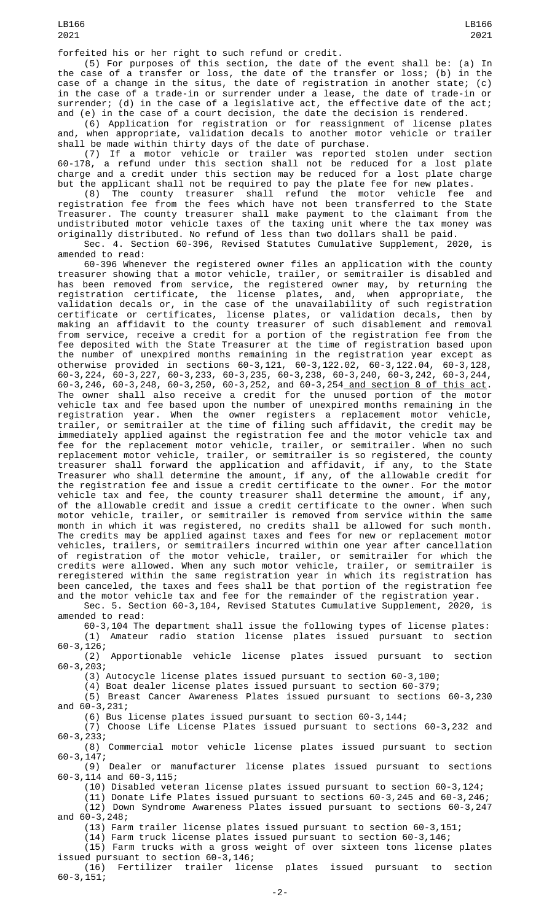forfeited his or her right to such refund or credit.

(5) For purposes of this section, the date of the event shall be: (a) In the case of a transfer or loss, the date of the transfer or loss; (b) in the case of a change in the situs, the date of registration in another state; (c) in the case of a trade-in or surrender under a lease, the date of trade-in or surrender; (d) in the case of a legislative act, the effective date of the act; and (e) in the case of a court decision, the date the decision is rendered.

(6) Application for registration or for reassignment of license plates and, when appropriate, validation decals to another motor vehicle or trailer shall be made within thirty days of the date of purchase.

(7) If a motor vehicle or trailer was reported stolen under section 60-178, a refund under this section shall not be reduced for a lost plate charge and a credit under this section may be reduced for a lost plate charge but the applicant shall not be required to pay the plate fee for new plates.

(8) The county treasurer shall refund the motor vehicle fee and registration fee from the fees which have not been transferred to the State Treasurer. The county treasurer shall make payment to the claimant from the undistributed motor vehicle taxes of the taxing unit where the tax money was originally distributed. No refund of less than two dollars shall be paid.

Sec. 4. Section 60-396, Revised Statutes Cumulative Supplement, 2020, is amended to read:

60-396 Whenever the registered owner files an application with the county treasurer showing that a motor vehicle, trailer, or semitrailer is disabled and has been removed from service, the registered owner may, by returning the registration certificate, the license plates, and, when appropriate, the validation decals or, in the case of the unavailability of such registration certificate or certificates, license plates, or validation decals, then by making an affidavit to the county treasurer of such disablement and removal from service, receive a credit for a portion of the registration fee from the fee deposited with the State Treasurer at the time of registration based upon the number of unexpired months remaining in the registration year except as otherwise provided in sections 60-3,121, 60-3,122.02, 60-3,122.04, 60-3,128, 60-3,224, 60-3,227, 60-3,233, 60-3,235, 60-3,238, 60-3,240, 60-3,242, 60-3,244, 60-3,246, 60-3,248, 60-3,250, 60-3,252, and 60-3,254 and section 8 of this act. The owner shall also receive a credit for the unused portion of the motor vehicle tax and fee based upon the number of unexpired months remaining in the registration year. When the owner registers a replacement motor vehicle, trailer, or semitrailer at the time of filing such affidavit, the credit may be immediately applied against the registration fee and the motor vehicle tax and fee for the replacement motor vehicle, trailer, or semitrailer. When no such replacement motor vehicle, trailer, or semitrailer is so registered, the county treasurer shall forward the application and affidavit, if any, to the State Treasurer who shall determine the amount, if any, of the allowable credit for the registration fee and issue a credit certificate to the owner. For the motor vehicle tax and fee, the county treasurer shall determine the amount, if any, of the allowable credit and issue a credit certificate to the owner. When such motor vehicle, trailer, or semitrailer is removed from service within the same month in which it was registered, no credits shall be allowed for such month. The credits may be applied against taxes and fees for new or replacement motor vehicles, trailers, or semitrailers incurred within one year after cancellation of registration of the motor vehicle, trailer, or semitrailer for which the credits were allowed. When any such motor vehicle, trailer, or semitrailer is reregistered within the same registration year in which its registration has been canceled, the taxes and fees shall be that portion of the registration fee and the motor vehicle tax and fee for the remainder of the registration year.

Sec. 5. Section 60-3,104, Revised Statutes Cumulative Supplement, 2020, is amended to read:

60-3,104 The department shall issue the following types of license plates: (1) Amateur radio station license plates issued pursuant to section 60-3,126;

(2) Apportionable vehicle license plates issued pursuant to section 60-3,203;

(3) Autocycle license plates issued pursuant to section 60-3,100;

(4) Boat dealer license plates issued pursuant to section 60-379;

(5) Breast Cancer Awareness Plates issued pursuant to sections 60-3,230 and 60-3,231;

(6) Bus license plates issued pursuant to section 60-3,144;

(7) Choose Life License Plates issued pursuant to sections 60-3,232 and 60-3,233;

(8) Commercial motor vehicle license plates issued pursuant to section 60-3,147;

(9) Dealer or manufacturer license plates issued pursuant to sections 60-3,114 and 60-3,115;

(10) Disabled veteran license plates issued pursuant to section 60-3,124;

(11) Donate Life Plates issued pursuant to sections 60-3,245 and 60-3,246;

(12) Down Syndrome Awareness Plates issued pursuant to sections 60-3,247 and 60-3,248;

(13) Farm trailer license plates issued pursuant to section 60-3,151;

(14) Farm truck license plates issued pursuant to section 60-3,146;

(15) Farm trucks with a gross weight of over sixteen tons license plates issued pursuant to section 60-3,146;

(16) Fertilizer trailer license plates issued pursuant to section 60-3,151;

LB166 2021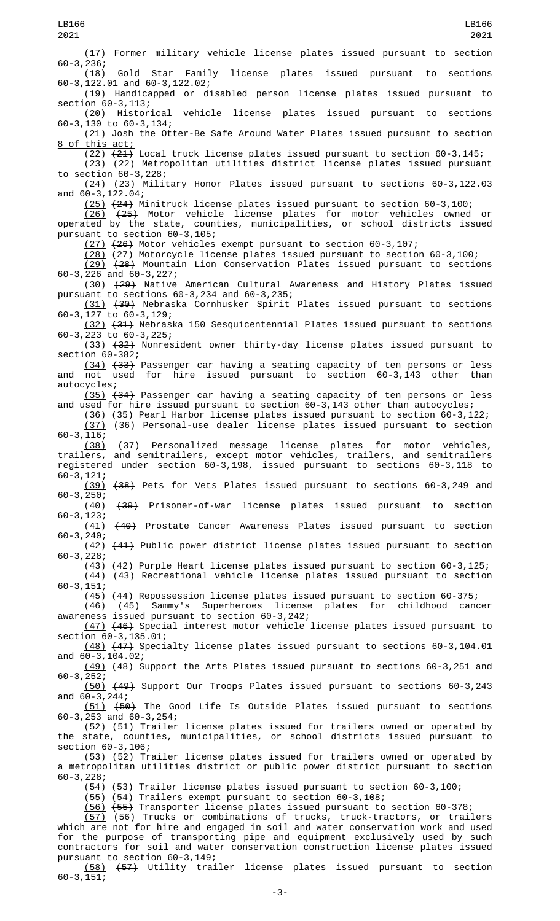(17) Former military vehicle license plates issued pursuant to section 60-3,236; Gold Star Family license plates issued pursuant to sections 60-3,122.01 and 60-3,122.02; (19) Handicapped or disabled person license plates issued pursuant to section 60-3,113;<br>(20) Historical vehicle license plates issued pursuant to sections 60-3,130 to 60-3,134; (21) Josh the Otter-Be Safe Around Water Plates issued pursuant to section 8 of this act; (22) (21) Local truck license plates issued pursuant to section 60-3,145; (23) (22) Metropolitan utilities district license plates issued pursuant to section 60-3,228; (24) (23) Military Honor Plates issued pursuant to sections 60-3,122.03 and 60-3,122.04; (25) (24) Minitruck license plates issued pursuant to section 60-3,100; (26) (25) Motor vehicle license plates for motor vehicles owned or operated by the state, counties, municipalities, or school districts issued pursuant to section 60-3,105; (27) (26) Motor vehicles exempt pursuant to section 60-3,107; (28) (27) Motorcycle license plates issued pursuant to section 60-3,100;  $\overline{(29)}$   $\overline{(28)}$  Mountain Lion Conservation Plates issued pursuant to sections 60-3,226 and 60-3,227; (30) (29) Native American Cultural Awareness and History Plates issued pursuant to sections 60-3,234 and 60-3,235; (31) (30) Nebraska Cornhusker Spirit Plates issued pursuant to sections 60-3,127 to 60-3,129; (32) (31) Nebraska 150 Sesquicentennial Plates issued pursuant to sections 60-3,223 to 60-3,225; (33) (32) Nonresident owner thirty-day license plates issued pursuant to section 60-382; (34) (33) Passenger car having a seating capacity of ten persons or less and not used for hire issued pursuant to section 60-3,143 other than autocycles; (35) (34) Passenger car having a seating capacity of ten persons or less and used for hire issued pursuant to section 60-3,143 other than autocycles; (36) (35) Pearl Harbor license plates issued pursuant to section 60-3,122; (37) (36) Personal-use dealer license plates issued pursuant to section 60-3,116; (38) (37) Personalized message license plates for motor vehicles, trailers, and semitrailers, except motor vehicles, trailers, and semitrailers registered under section 60-3,198, issued pursuant to sections 60-3,118 to 60-3,121; (39) (38) Pets for Vets Plates issued pursuant to sections 60-3,249 and  $60-3, 250;$ <br>(40) (40) (39) Prisoner-of-war license plates issued pursuant to section 60-3,123; (41) (40) Prostate Cancer Awareness Plates issued pursuant to section 60-3,240; (42) (41) Public power district license plates issued pursuant to section 60-3,228; (43) (42) Purple Heart license plates issued pursuant to section 60-3,125; (44) (43) Recreational vehicle license plates issued pursuant to section  $60 - 3, 151;$  $(45)$   $(44)$  Repossession license plates issued pursuant to section 60-375;<br> $(46)$   $(45)$  Sammy's Superheroes license plates for childhood cancer (46) (45) Sammy's Superheroes license plates for childhood cancer awareness issued pursuant to section 60-3,242; (47) (46) Special interest motor vehicle license plates issued pursuant to section 60-3,135.01; (48) (47) Specialty license plates issued pursuant to sections 60-3,104.01 and 60-3,104.02; (49) (48) Support the Arts Plates issued pursuant to sections 60-3,251 and  $60 - 3,252;$ (50) (49) Support Our Troops Plates issued pursuant to sections 60-3,243 and 60-3,244; (51) (50) The Good Life Is Outside Plates issued pursuant to sections 60-3,253 and 60-3,254; (52) (51) Trailer license plates issued for trailers owned or operated by the state, counties, municipalities, or school districts issued pursuant to section  $60-3,106$ ; (53) <del>(52)</del> Trailer license plates issued for trailers owned or operated by a metropolitan utilities district or public power district pursuant to section 60-3,228; (54) (53) Trailer license plates issued pursuant to section 60-3,100; (55) (54) Trailers exempt pursuant to section 60-3,108; (56) (55) Transporter license plates issued pursuant to section 60-378; (57) (56) Trucks or combinations of trucks, truck-tractors, or trailers which are not for hire and engaged in soil and water conservation work and used for the purpose of transporting pipe and equipment exclusively used by such contractors for soil and water conservation construction license plates issued pursuant to section 60-3,149;

(58) (57) Utility trailer license plates issued pursuant to section  $60 - 3, 151;$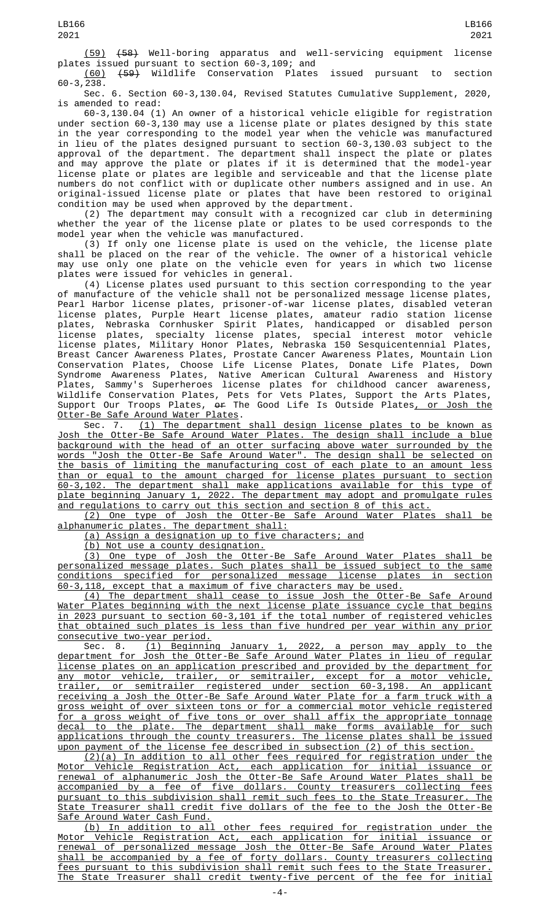(59) (58) Well-boring apparatus and well-servicing equipment license plates issued pursuant to section 60-3,109; and

(60) (59) Wildlife Conservation Plates issued pursuant to section 60-3,238.

Sec. 6. Section 60-3,130.04, Revised Statutes Cumulative Supplement, 2020, is amended to read:

60-3,130.04 (1) An owner of a historical vehicle eligible for registration under section 60-3,130 may use a license plate or plates designed by this state in the year corresponding to the model year when the vehicle was manufactured in lieu of the plates designed pursuant to section 60-3,130.03 subject to the approval of the department. The department shall inspect the plate or plates and may approve the plate or plates if it is determined that the model-year license plate or plates are legible and serviceable and that the license plate numbers do not conflict with or duplicate other numbers assigned and in use. An original-issued license plate or plates that have been restored to original condition may be used when approved by the department.

(2) The department may consult with a recognized car club in determining whether the year of the license plate or plates to be used corresponds to the model year when the vehicle was manufactured.

(3) If only one license plate is used on the vehicle, the license plate shall be placed on the rear of the vehicle. The owner of a historical vehicle may use only one plate on the vehicle even for years in which two license plates were issued for vehicles in general.

(4) License plates used pursuant to this section corresponding to the year of manufacture of the vehicle shall not be personalized message license plates, Pearl Harbor license plates, prisoner-of-war license plates, disabled veteran license plates, Purple Heart license plates, amateur radio station license plates, Nebraska Cornhusker Spirit Plates, handicapped or disabled person license plates, specialty license plates, special interest motor vehicle license plates, Military Honor Plates, Nebraska 150 Sesquicentennial Plates, Breast Cancer Awareness Plates, Prostate Cancer Awareness Plates, Mountain Lion Conservation Plates, Choose Life License Plates, Donate Life Plates, Down Syndrome Awareness Plates, Native American Cultural Awareness and History Plates, Sammy's Superheroes license plates for childhood cancer awareness, Wildlife Conservation Plates, Pets for Vets Plates, Support the Arts Plates, Support Our Troops Plates, <del>or</del> The Good Life Is Outside Plates<u>, or Josh the</u> Otter-Be Safe Around Water Plates.

Sec. 7. <u>(1) The department shall design license plates to be known as</u> Josh the Otter-Be Safe Around Water Plates. The design shall include a blue background with the head of an otter surfacing above water surrounded by the words "Josh the Otter-Be Safe Around Water". The design shall be selected on the basis of limiting the manufacturing cost of each plate to an amount less than or equal to the amount charged for license plates pursuant to section 60-3,102. The department shall make applications available for this type of plate beginning January 1, 2022. The department may adopt and promulgate rules and regulations to carry out this section and section 8 of this act.

(2) One type of Josh the Otter-Be Safe Around Water Plates shall be alphanumeric plates. The department shall:

(a) Assign a designation up to five characters; and

(b) Not use a county designation.

(3) One type of Josh the Otter-Be Safe Around Water Plates shall be personalized message plates. Such plates shall be issued subject to the same conditions specified for personalized message license plates in section 60-3,118, except that a maximum of five characters may be used.

(4) The department shall cease to issue Josh the Otter-Be Safe Around Water Plates beginning with the next license plate issuance cycle that begins in 2023 pursuant to section 60-3,101 if the total number of registered vehicles that obtained such plates is less than five hundred per year within any prior consecutive two-year period.

Sec. 8. (1) Beginning January 1, 2022, a person may apply to the department for Josh the Otter-Be Safe Around Water Plates in lieu of regular license plates on an application prescribed and provided by the department for any motor vehicle, trailer, or semitrailer, except for a motor vehicle, trailer, or semitrailer registered under section 60-3,198. An applicant receiving a Josh the Otter-Be Safe Around Water Plate for a farm truck with a gross weight of over sixteen tons or for a commercial motor vehicle registered for a gross weight of five tons or over shall affix the appropriate tonnage decal to the plate. The department shall make forms available for such applications through the county treasurers. The license plates shall be issued upon payment of the license fee described in subsection (2) of this section.

(2)(a) In addition to all other fees required for registration under the Motor Vehicle Registration Act, each application for initial issuance or renewal of alphanumeric Josh the Otter-Be Safe Around Water Plates shall be accompanied by a fee of five dollars. County treasurers collecting fees pursuant to this subdivision shall remit such fees to the State Treasurer. The State Treasurer shall credit five dollars of the fee to the Josh the Otter-Be Safe Around Water Cash Fund.

(b) In addition to all other fees required for registration under the Motor Vehicle Registration Act, each application for initial issuance or renewal of personalized message Josh the Otter-Be Safe Around Water Plates shall be accompanied by a fee of forty dollars. County treasurers collecting fees pursuant to this subdivision shall remit such fees to the State Treasurer. The State Treasurer shall credit twenty-five percent of the fee for initial